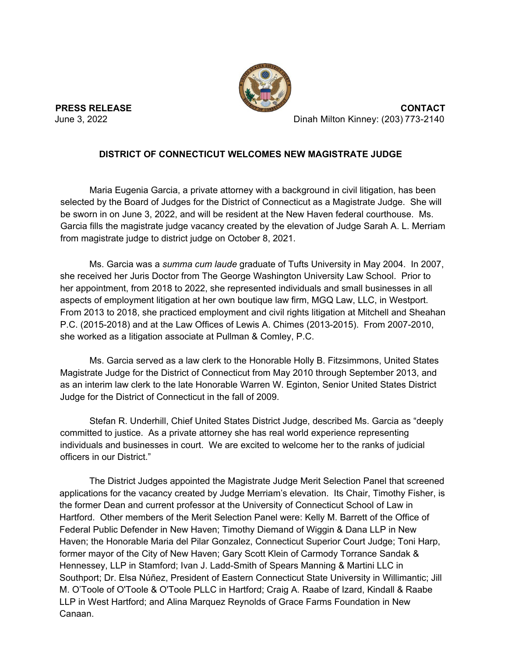

**PRESS RELEASE** CONTACT<br>June 3, 2022<br>Dinah Milton Kinney: (203) 773-2140 Dinah Milton Kinney: (203) 773-2140

## **DISTRICT OF CONNECTICUT WELCOMES NEW MAGISTRATE JUDGE**

Maria Eugenia Garcia, a private attorney with a background in civil litigation, has been selected by the Board of Judges for the District of Connecticut as a Magistrate Judge. She will be sworn in on June 3, 2022, and will be resident at the New Haven federal courthouse. Ms. Garcia fills the magistrate judge vacancy created by the elevation of Judge Sarah A. L. Merriam from magistrate judge to district judge on October 8, 2021.

Ms. Garcia was a *summa cum laude* graduate of Tufts University in May 2004. In 2007, she received her Juris Doctor from The George Washington University Law School. Prior to her appointment, from 2018 to 2022, she represented individuals and small businesses in all aspects of employment litigation at her own boutique law firm, MGQ Law, LLC, in Westport. From 2013 to 2018, she practiced employment and civil rights litigation at Mitchell and Sheahan P.C. (2015-2018) and at the Law Offices of Lewis A. Chimes (2013-2015). From 2007-2010, she worked as a litigation associate at Pullman & Comley, P.C.

Ms. Garcia served as a law clerk to the Honorable Holly B. Fitzsimmons, United States Magistrate Judge for the District of Connecticut from May 2010 through September 2013, and as an interim law clerk to the late Honorable Warren W. Eginton, Senior United States District Judge for the District of Connecticut in the fall of 2009.

Stefan R. Underhill, Chief United States District Judge, described Ms. Garcia as "deeply committed to justice. As a private attorney she has real world experience representing individuals and businesses in court. We are excited to welcome her to the ranks of judicial officers in our District."

The District Judges appointed the Magistrate Judge Merit Selection Panel that screened applications for the vacancy created by Judge Merriam's elevation. Its Chair, Timothy Fisher, is the former Dean and current professor at the University of Connecticut School of Law in Hartford. Other members of the Merit Selection Panel were: Kelly M. Barrett of the Office of Federal Public Defender in New Haven; Timothy Diemand of Wiggin & Dana LLP in New Haven; the Honorable Maria del Pilar Gonzalez, Connecticut Superior Court Judge; Toni Harp, former mayor of the City of New Haven; Gary Scott Klein of Carmody Torrance Sandak & Hennessey, LLP in Stamford; Ivan J. Ladd-Smith of Spears Manning & Martini LLC in Southport; Dr. Elsa Núñez, President of Eastern Connecticut State University in Willimantic; Jill M. O'Toole of O'Toole & O'Toole PLLC in Hartford; Craig A. Raabe of Izard, Kindall & Raabe LLP in West Hartford; and Alina Marquez Reynolds of Grace Farms Foundation in New Canaan.